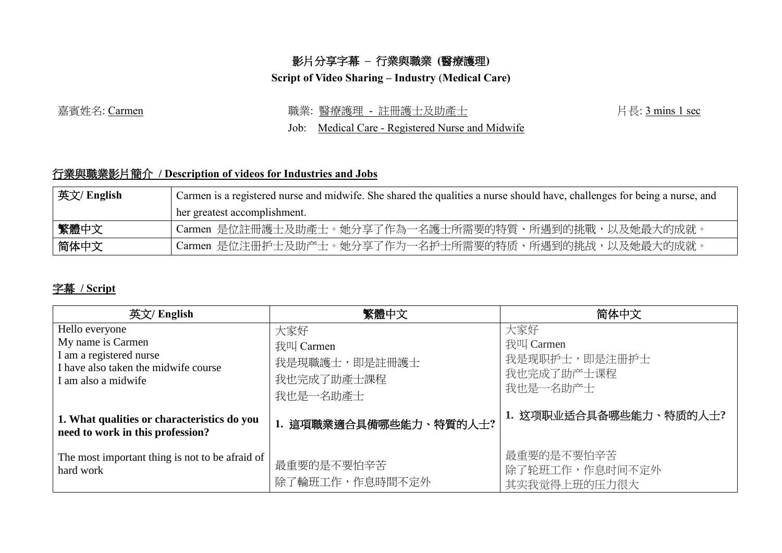## 影片分享字幕 **–** 行業與職業 **(**醫療護理**)**

**Script of Video Sharing – Industry** (**Medical Care)**

嘉賓姓名: Carmen <br>第賓姓名: Carmen またはないない - 職業: 醫療護理 - 註冊護士及助產士 インコン インス ト長: 3 mins 1 sec

Job: Medical Care - Registered Nurse and Midwife

## 行業與職業影片簡介 **/ Description of videos for Industries and Jobs**

| 英文/ English | Carmen is a registered nurse and midwife. She shared the qualities a nurse should have, challenges for being a nurse, and |  |  |
|-------------|---------------------------------------------------------------------------------------------------------------------------|--|--|
|             | her greatest accomplishment.                                                                                              |  |  |
| 繁體中文        | Carmen 是位註冊護士及助產士。她分享了作為一名護士所需要的特質、所遇到的挑戰,以及她最大的成就。                                                                       |  |  |
| 简体中文        | Carmen 是位注册护士及助产士。她分享了作为一名护士所需要的特质、所遇到的挑战,以及她最大的成就。                                                                       |  |  |

## 字幕 **/ Script**

| 英文/ English                                                                                                                   | 繁體中文                                                        | 简体中文                                                        |
|-------------------------------------------------------------------------------------------------------------------------------|-------------------------------------------------------------|-------------------------------------------------------------|
| Hello everyone<br>My name is Carmen<br>I am a registered nurse<br>I have also taken the midwife course<br>I am also a midwife | 大家好<br>我叫 Carmen<br>我是現職護士,即是註冊護士<br>我也完成了助產士課程<br>我也是一名助產士 | 大家好<br>我叫 Carmen<br>我是现职护士,即是注册护士<br>我也完成了助产士课程<br>我也是一名助产士 |
| 1. What qualities or characteristics do you<br>need to work in this profession?                                               | 1. 這項職業適合具備哪些能力、特質的人士?                                      | 1. 这项职业适合具备哪些能力、特质的人士?                                      |
| The most important thing is not to be afraid of<br>hard work                                                                  | 最重要的是不要怕辛苦<br>除了輪班工作,作息時間不定外                                | 最重要的是不要怕辛苦<br>除了轮班工作,作息时间不定外<br>其实我觉得上班的压力很大                |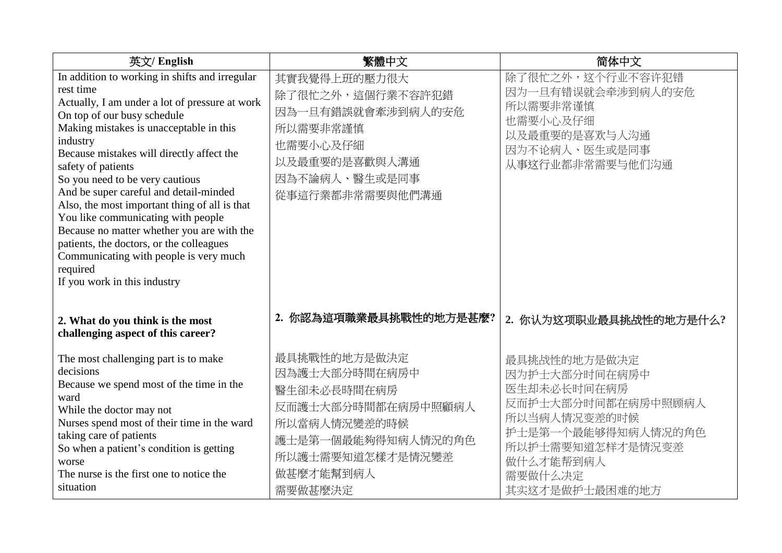| 英文/ English                                                                                                                                                                                                                                                                                                                                                                                                                                                                                                                                                                                                                | 繁體中文                                                                                                                                                 | 简体中文                                                                                                                                                                   |
|----------------------------------------------------------------------------------------------------------------------------------------------------------------------------------------------------------------------------------------------------------------------------------------------------------------------------------------------------------------------------------------------------------------------------------------------------------------------------------------------------------------------------------------------------------------------------------------------------------------------------|------------------------------------------------------------------------------------------------------------------------------------------------------|------------------------------------------------------------------------------------------------------------------------------------------------------------------------|
| In addition to working in shifts and irregular<br>rest time<br>Actually, I am under a lot of pressure at work<br>On top of our busy schedule<br>Making mistakes is unacceptable in this<br>industry<br>Because mistakes will directly affect the<br>safety of patients<br>So you need to be very cautious<br>And be super careful and detail-minded<br>Also, the most important thing of all is that<br>You like communicating with people<br>Because no matter whether you are with the<br>patients, the doctors, or the colleagues<br>Communicating with people is very much<br>required<br>If you work in this industry | 其實我覺得上班的壓力很大<br>除了很忙之外,這個行業不容許犯錯<br>因為一旦有錯誤就會牽涉到病人的安危<br>所以需要非常謹慎<br>也需要小心及仔細<br>以及最重要的是喜歡與人溝通<br>因為不論病人、醫生或是同事<br>從事這行業都非常需要與他們溝通                   | 除了很忙之外,这个行业不容许犯错<br>因为一旦有错误就会牵涉到病人的安危<br>所以需要非常谨慎<br>也需要小心及仔细<br>以及最重要的是喜欢与人沟通<br>因为不论病人、医生或是同事<br>从事这行业都非常需要与他们沟通                                                     |
| 2. What do you think is the most<br>challenging aspect of this career?                                                                                                                                                                                                                                                                                                                                                                                                                                                                                                                                                     | 你認為這項職業最具挑戰性的地方是甚麼?<br>2.                                                                                                                            | 2. 你认为这项职业最具挑战性的地方是什么?                                                                                                                                                 |
| The most challenging part is to make<br>decisions<br>Because we spend most of the time in the<br>ward<br>While the doctor may not<br>Nurses spend most of their time in the ward<br>taking care of patients<br>So when a patient's condition is getting<br>worse<br>The nurse is the first one to notice the<br>situation                                                                                                                                                                                                                                                                                                  | 最具挑戰性的地方是做決定<br>因為護士大部分時間在病房中<br>醫生卻未必長時間在病房<br>反而護士大部分時間都在病房中照顧病人<br>所以當病人情況變差的時候<br>護士是第一個最能夠得知病人情況的角色<br>所以護士需要知道怎樣才是情況變差<br>做甚麼才能幫到病人<br>需要做甚麼決定 | 最具挑战性的地方是做决定<br>因为护士大部分时间在病房中<br>医生却未必长时间在病房<br>反而护士大部分时间都在病房中照顾病人<br>所以当病人情况变差的时候<br>护士是第一个最能够得知病人情况的角色<br>所以护士需要知道怎样才是情況变差<br>做什么才能帮到病人<br>需要做什么决定<br>其实这才是做护士最困难的地方 |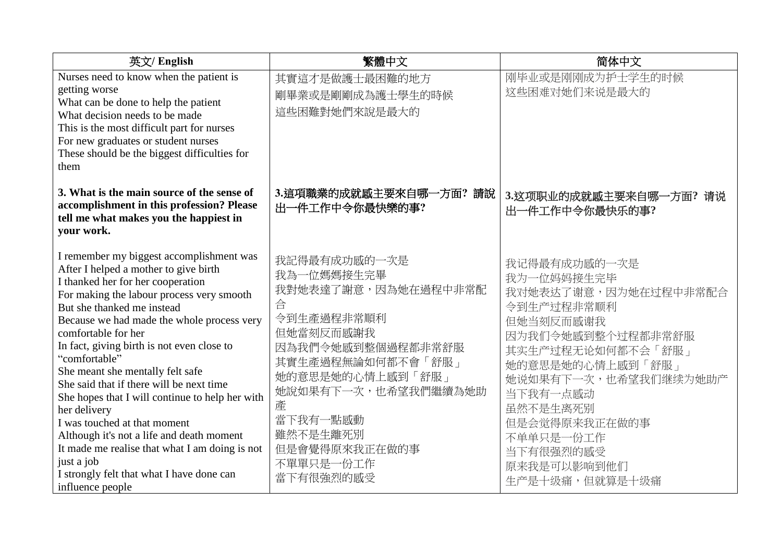| 英文/ English                                                                                                                                                                                                                                                                                                                                                                                                                                                                                                                                                                                                                                                                                            | 繁體中文                                                                                                                                                                                                                                           | 简体中文                                                                                                                                                                                                                                                                    |
|--------------------------------------------------------------------------------------------------------------------------------------------------------------------------------------------------------------------------------------------------------------------------------------------------------------------------------------------------------------------------------------------------------------------------------------------------------------------------------------------------------------------------------------------------------------------------------------------------------------------------------------------------------------------------------------------------------|------------------------------------------------------------------------------------------------------------------------------------------------------------------------------------------------------------------------------------------------|-------------------------------------------------------------------------------------------------------------------------------------------------------------------------------------------------------------------------------------------------------------------------|
| Nurses need to know when the patient is<br>getting worse<br>What can be done to help the patient<br>What decision needs to be made<br>This is the most difficult part for nurses<br>For new graduates or student nurses<br>These should be the biggest difficulties for<br>them                                                                                                                                                                                                                                                                                                                                                                                                                        | 其實這才是做護士最困難的地方<br>剛畢業或是剛剛成為護士學生的時候<br>這些困難對她們來說是最大的                                                                                                                                                                                            | 刚毕业或是刚刚成为护士学生的时候<br>这些困难对她们来说是最大的                                                                                                                                                                                                                                       |
| 3. What is the main source of the sense of<br>accomplishment in this profession? Please<br>tell me what makes you the happiest in<br>your work.                                                                                                                                                                                                                                                                                                                                                                                                                                                                                                                                                        | 3.這項職業的成就感主要來自哪一方面?請說<br>出一件工作中令你最快樂的事?                                                                                                                                                                                                        | 3.这项职业的成就感主要来自哪一方面?请说<br>出一件工作中令你最快乐的事?                                                                                                                                                                                                                                 |
| I remember my biggest accomplishment was<br>After I helped a mother to give birth<br>I thanked her for her cooperation<br>For making the labour process very smooth<br>But she thanked me instead<br>Because we had made the whole process very<br>comfortable for her<br>In fact, giving birth is not even close to<br>"comfortable"<br>She meant she mentally felt safe<br>She said that if there will be next time<br>She hopes that I will continue to help her with<br>her delivery<br>I was touched at that moment<br>Although it's not a life and death moment<br>It made me realise that what I am doing is not<br>just a job<br>I strongly felt that what I have done can<br>influence people | 我記得最有成功感的一次是<br>我為一位媽媽接生完畢<br>我對她表達了謝意,因為她在過程中非常配<br>合<br>令到生產過程非常順利<br>但她當刻反而感謝我<br>因為我們令她感到整個過程都非常舒服<br>其實生產過程無論如何都不會「舒服」<br>她的意思是她的心情上感到「舒服」<br>她說如果有下一次,也希望我們繼續為她助<br>產<br>當下我有一點感動<br>雖然不是生離死別<br>但是會覺得原來我正在做的事<br>不單單只是一份工作<br>當下有很強烈的感受 | 我记得最有成功感的一次是<br>我为一位妈妈接生完毕<br>我对她表达了谢意,因为她在过程中非常配合<br>令到生产过程非常顺利<br>但她当刻反而感谢我<br>因为我们令她感到整个过程都非常舒服<br>其实生产过程无论如何都不会「舒服」<br>她的意思是她的心情上感到「舒服」<br>她说如果有下一次,也希望我们继续为她助产<br>当下我有一点感动<br>虽然不是生离死别<br>但是会觉得原来我正在做的事<br>不单单只是一份工作<br>当下有很强烈的感受<br>原来我是可以影响到他们<br>生产是十级痛,但就算是十级痛 |